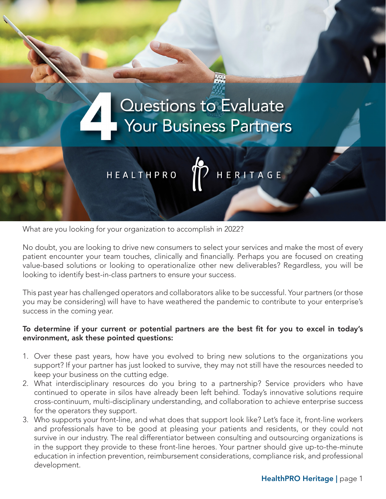

What are you looking for your organization to accomplish in 2022?

No doubt, you are looking to drive new consumers to select your services and make the most of every patient encounter your team touches, clinically and financially. Perhaps you are focused on creating value-based solutions or looking to operationalize other new deliverables? Regardless, you will be looking to identify best-in-class partners to ensure your success.

This past year has challenged operators and collaborators alike to be successful. Your partners (or those you may be considering) will have to have weathered the pandemic to contribute to your enterprise's success in the coming year.

## To determine if your current or potential partners are the best fit for you to excel in today's environment, ask these pointed questions:

- 1. Over these past years, how have you evolved to bring new solutions to the organizations you support? If your partner has just looked to survive, they may not still have the resources needed to keep your business on the cutting edge.
- 2. What interdisciplinary resources do you bring to a partnership? Service providers who have continued to operate in silos have already been left behind. Today's innovative solutions require cross-continuum, multi-disciplinary understanding, and collaboration to achieve enterprise success for the operators they support.
- 3. Who supports your front-line, and what does that support look like? Let's face it, front-line workers and professionals have to be good at pleasing your patients and residents, or they could not survive in our industry. The real differentiator between consulting and outsourcing organizations is in the support they provide to these front-line heroes. Your partner should give up-to-the-minute education in infection prevention, reimbursement considerations, compliance risk, and professional development.